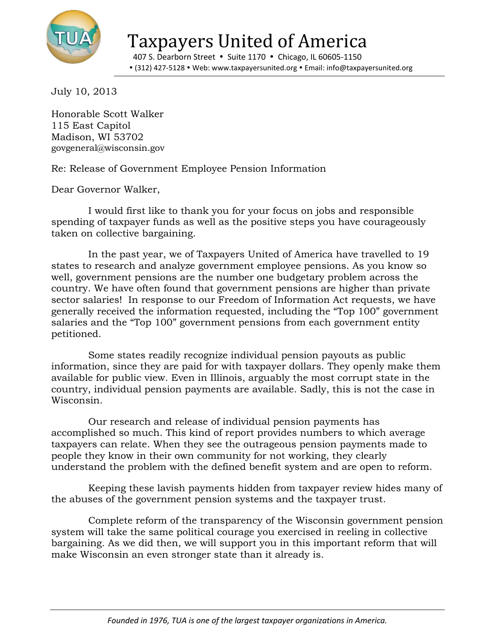

Taxpayers United of America

407 S. Dearborn Street • Suite 1170 • Chicago, IL 60605-1150 (312) 427-5128 Web: www.taxpayersunited.org Email: info@taxpayersunited.org

July 10, 2013

Honorable Scott Walker 115 East Capitol Madison, WI 53702 govgeneral@wisconsin.gov

Re: Release of Government Employee Pension Information

Dear Governor Walker,

I would first like to thank you for your focus on jobs and responsible spending of taxpayer funds as well as the positive steps you have courageously taken on collective bargaining.

In the past year, we of Taxpayers United of America have travelled to 19 states to research and analyze government employee pensions. As you know so well, government pensions are the number one budgetary problem across the country. We have often found that government pensions are higher than private sector salaries! In response to our Freedom of Information Act requests, we have generally received the information requested, including the "Top 100" government salaries and the "Top 100" government pensions from each government entity petitioned.

Some states readily recognize individual pension payouts as public information, since they are paid for with taxpayer dollars. They openly make them available for public view. Even in Illinois, arguably the most corrupt state in the country, individual pension payments are available. Sadly, this is not the case in Wisconsin.

Our research and release of individual pension payments has accomplished so much. This kind of report provides numbers to which average taxpayers can relate. When they see the outrageous pension payments made to people they know in their own community for not working, they clearly understand the problem with the defined benefit system and are open to reform.

Keeping these lavish payments hidden from taxpayer review hides many of the abuses of the government pension systems and the taxpayer trust.

Complete reform of the transparency of the Wisconsin government pension system will take the same political courage you exercised in reeling in collective bargaining. As we did then, we will support you in this important reform that will make Wisconsin an even stronger state than it already is.